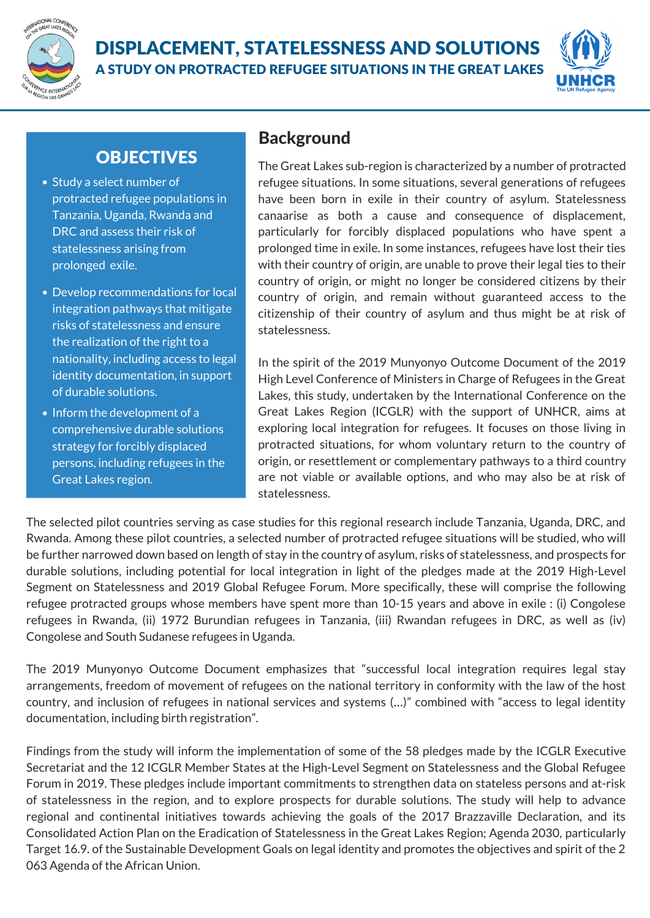

#### DISPLACEMENT, STATELESSNESS AND SOLUTIONS A STUDY ON PROTRACTED REFUGEE SITUATIONS IN THE GREAT LAKES



# **OBJECTIVES**

- Study a select number of protracted refugee populations in Tanzania, Uganda, Rwanda and DRC and assess their risk of statelessness arising from prolonged exile.
- Develop recommendations for local integration pathways that mitigate risks of statelessness and ensure the realization of the right to a nationality, including access to legal identity documentation, in support of durable solutions.
- Inform the development of a comprehensive durable solutions strategy for forcibly displaced persons, including refugees in the Great Lakes region.

# **Background**

The Great Lakes sub-region is characterized by a number of protracted refugee situations. In some situations, several generations of refugees have been born in exile in their country of asylum. Statelessness canaarise as both a cause and consequence of displacement, particularly for forcibly displaced populations who have spent a prolonged time in exile. In some instances, refugees have lost their ties with their country of origin, are unable to prove their legal ties to their country of origin, or might no longer be considered citizens by their country of origin, and remain without guaranteed access to the citizenship of their country of asylum and thus might be at risk of statelessness.

In the spirit of the 2019 Munyonyo Outcome Document of the 2019 High Level Conference of Ministers in Charge of Refugees in the Great Lakes, this study, undertaken by the [International](https://ungreatlakes.unmissions.org/sites/default/files/outcome_document.pdf) Conference on the Great Lakes Region (ICGLR) with the support of UNHCR, aims at exploring local integration for refugees. It focuses on those living in protracted situations, for whom voluntary return to the country of origin, or resettlement or complementary pathways to a third country are not viable or available options, and who may also be at risk of statelessness.

The selected pilot countries serving as case studies for this regional research include Tanzania, Uganda, DRC, and Rwanda. Among these pilot countries, a selected number of protracted refugee situations will be studied, who will be further narrowed down based on length of stay in the country of asylum, risks of statelessness, and prospects for durable solutions, including potential for local integration in light of the pledges made at the 2019 High-Level Segment on Statelessness and 2019 Global Refugee Forum. More specifically, these will comprise the following refugee protracted groups whose members have spent more than 10-15 years and above in exile : (i) Congolese refugees in Rwanda, (ii) 1972 Burundian refugees in Tanzania, (iii) Rwandan refugees in DRC, as well as (iv) Congolese and South Sudanese refugees in Uganda.

The 2019 [Munyonyo](https://ungreatlakes.unmissions.org/sites/default/files/outcome_document.pdf) Outcome Document emphasizes that "successful local integration requires legal stay arrangements, freedom of movement of refugees on the national territory in conformity with the law of the host country, and inclusion of refugees in national services and systems (…)" combined with "access to legal identity documentation, including birth registration".

Findings from the study will inform the implementation of some of the 58 pledges made by the ICGLR Executive Secretariat and the 12 ICGLR Member States at the High-Level Segment on [Statelessness](https://www.unhcr.org/ibelong/high-level-segment-on-statelessness-results-and-highlights/) and the Global Refugee Forum in 2019. These pledges include important [commitments](https://www.unhcr.org/5ecd458c4.pdf) to strengthen data on stateless persons and at-risk of [statelessness](https://www.refworld.org/docid/59e9cb8c4.html) in the region, and to explore prospects for durable solutions. The study will help to advance regional and continental initiatives towards achieving the goals of the 2017 Brazzaville Declaration, and its Consolidated Action Plan on the Eradication of [Statelessness](https://data2.unhcr.org/en/documents/details/73439) in the Great Lakes [Region;](https://data2.unhcr.org/en/documents/details/73439) [Agenda](https://sdgs.un.org/2030agenda) 2030, [particularly](https://data2.unhcr.org/en/documents/details/73439) [Target](https://indicators.report/targets/16-9/) 16.9. of the Sustainable [Development](https://data2.unhcr.org/en/documents/details/73439) Goals on legal identity and promotes the objectives and spirit of the 2 063 Agenda of the African Union.